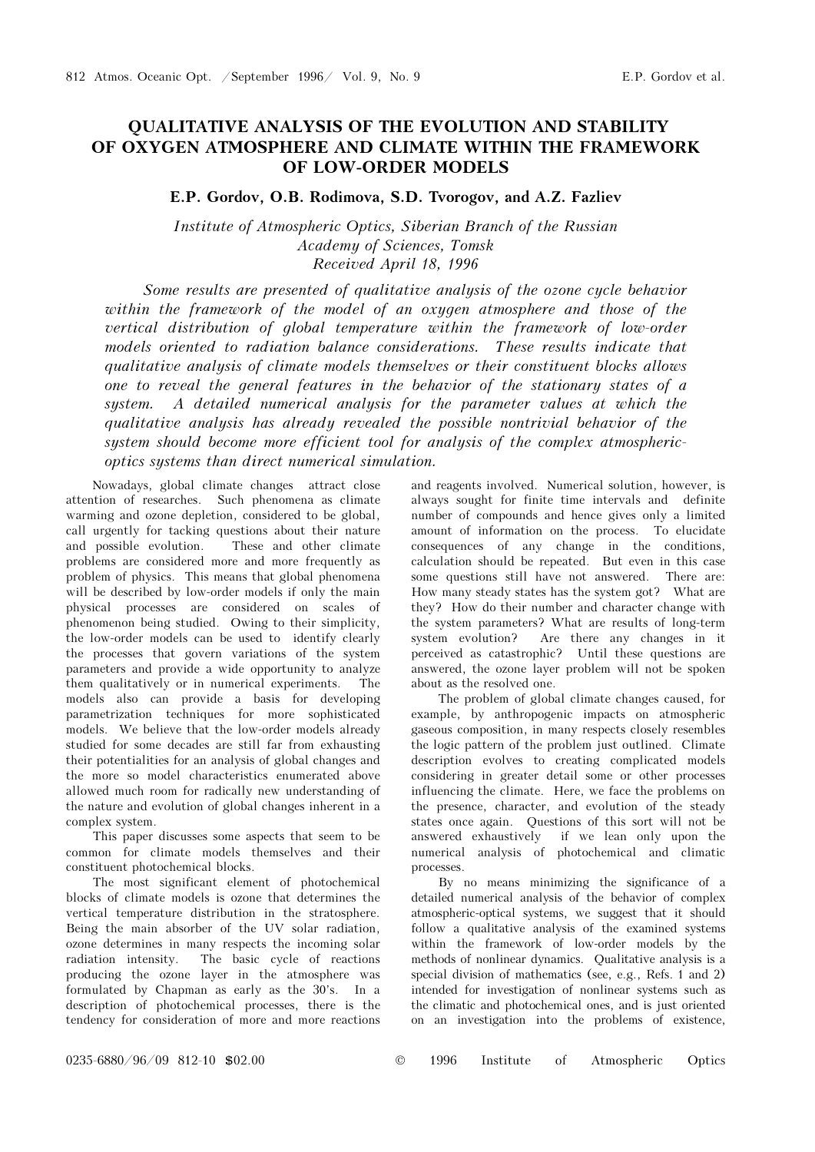# QUALITATIVE ANALYSIS OF THE EVOLUTION AND STABILITY OF OXYGEN ATMOSPHERE AND CLIMATE WITHIN THE FRAMEWORK OF LOW-ORDER MODELS

E.P. Gordov, O.B. Rodimova, S.D. Tvorogov, and A.Z. Fazliev

Institute of Atmospheric Optics, Siberian Branch of the Russian Academy of Sciences, Tomsk Received April 18, 1996

Some results are presented of qualitative analysis of the ozone cycle behavior within the framework of the model of an oxygen atmosphere and those of the vertical distribution of global temperature within the framework of low-order models oriented to radiation balance considerations. These results indicate that qualitative analysis of climate models themselves or their constituent blocks allows one to reveal the general features in the behavior of the stationary states of a system. A detailed numerical analysis for the parameter values at which the qualitative analysis has already revealed the possible nontrivial behavior of the system should become more efficient tool for analysis of the complex atmosphericoptics systems than direct numerical simulation.

Nowadays, global climate changes attract close attention of researches. Such phenomena as climate warming and ozone depletion, considered to be global, call urgently for tacking questions about their nature and possible evolution. These and other climate problems are considered more and more frequently as problem of physics. This means that global phenomena will be described by low-order models if only the main physical processes are considered on scales of phenomenon being studied. Owing to their simplicity, the low-order models can be used to identify clearly the processes that govern variations of the system parameters and provide a wide opportunity to analyze them qualitatively or in numerical experiments. The models also can provide a basis for developing parametrization techniques for more sophisticated models. We believe that the low-order models already studied for some decades are still far from exhausting their potentialities for an analysis of global changes and the more so model characteristics enumerated above allowed much room for radically new understanding of the nature and evolution of global changes inherent in a complex system.

This paper discusses some aspects that seem to be common for climate models themselves and their constituent photochemical blocks.

The most significant element of photochemical blocks of climate models is ozone that determines the vertical temperature distribution in the stratosphere. Being the main absorber of the UV solar radiation, ozone determines in many respects the incoming solar radiation intensity. The basic cycle of reactions producing the ozone layer in the atmosphere was formulated by Chapman as early as the 30's. In a description of photochemical processes, there is the tendency for consideration of more and more reactions and reagents involved. Numerical solution, however, is always sought for finite time intervals and definite number of compounds and hence gives only a limited amount of information on the process. To elucidate consequences of any change in the conditions, calculation should be repeated. But even in this case some questions still have not answered. There are: How many steady states has the system got? What are they? How do their number and character change with the system parameters? What are results of long-term system evolution? Are there any changes in it perceived as catastrophic? Until these questions are answered, the ozone layer problem will not be spoken about as the resolved one.

The problem of global climate changes caused, for example, by anthropogenic impacts on atmospheric gaseous composition, in many respects closely resembles the logic pattern of the problem just outlined. Climate description evolves to creating complicated models considering in greater detail some or other processes influencing the climate. Here, we face the problems on the presence, character, and evolution of the steady states once again. Questions of this sort will not be answered exhaustively if we lean only upon the numerical analysis of photochemical and climatic processes.

By no means minimizing the significance of a detailed numerical analysis of the behavior of complex atmospheric-optical systems, we suggest that it should follow a qualitative analysis of the examined systems within the framework of low-order models by the methods of nonlinear dynamics. Qualitative analysis is a special division of mathematics (see, e.g., Refs. 1 and 2) intended for investigation of nonlinear systems such as the climatic and photochemical ones, and is just oriented on an investigation into the problems of existence,

0235-6880/96/09 812-10 \$02.00 © 1996 Institute of Atmospheric Optics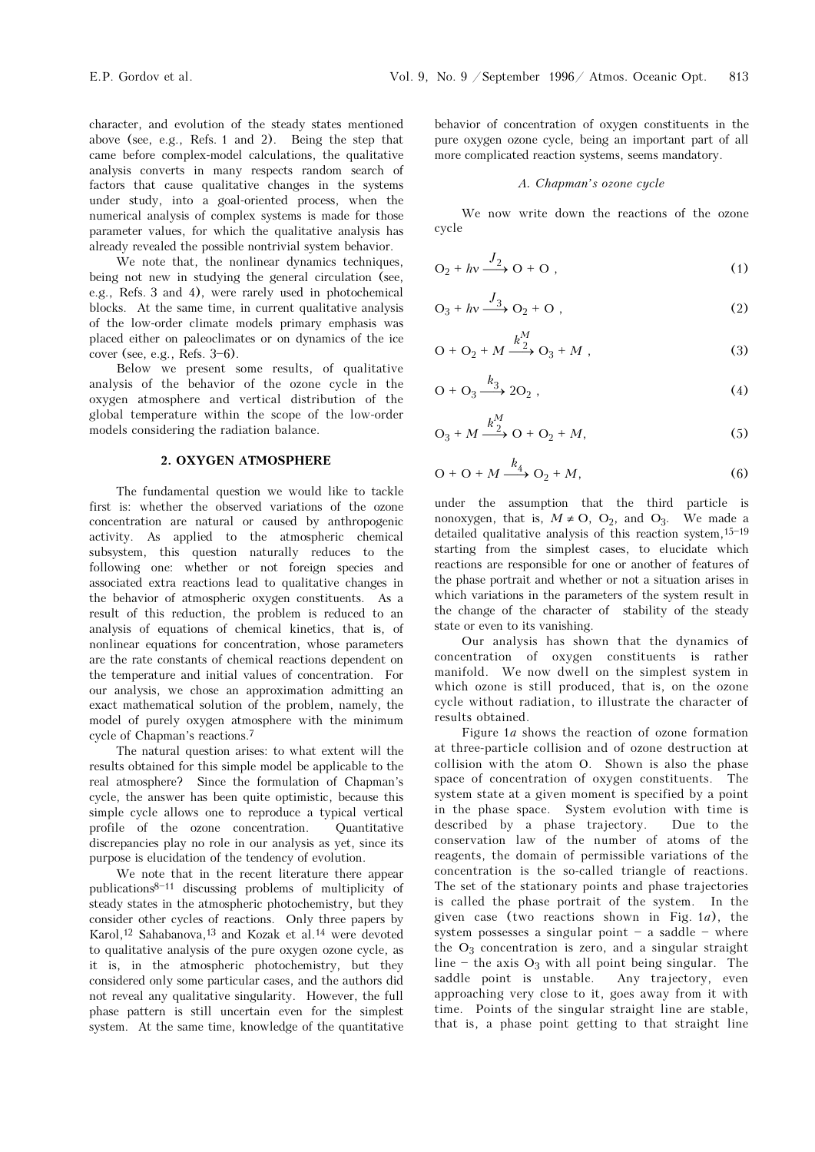character, and evolution of the steady states mentioned above (see, e.g., Refs. 1 and 2). Being the step that came before complex-model calculations, the qualitative analysis converts in many respects random search of factors that cause qualitative changes in the systems under study, into a goal-oriented process, when the numerical analysis of complex systems is made for those parameter values, for which the qualitative analysis has already revealed the possible nontrivial system behavior.

We note that, the nonlinear dynamics techniques, being not new in studying the general circulation (see, e.g., Refs. 3 and 4), were rarely used in photochemical blocks. At the same time, in current qualitative analysis of the low-order climate models primary emphasis was placed either on paleoclimates or on dynamics of the ice cover (see, e.g., Refs.  $3-6$ ).

Below we present some results, of qualitative analysis of the behavior of the ozone cycle in the oxygen atmosphere and vertical distribution of the global temperature within the scope of the low-order models considering the radiation balance.

## 2. OXYGEN ATMOSPHERE

The fundamental question we would like to tackle first is: whether the observed variations of the ozone concentration are natural or caused by anthropogenic activity. As applied to the atmospheric chemical subsystem, this question naturally reduces to the following one: whether or not foreign species and associated extra reactions lead to qualitative changes in the behavior of atmospheric oxygen constituents. As a result of this reduction, the problem is reduced to an analysis of equations of chemical kinetics, that is, of nonlinear equations for concentration, whose parameters are the rate constants of chemical reactions dependent on the temperature and initial values of concentration. For our analysis, we chose an approximation admitting an exact mathematical solution of the problem, namely, the model of purely oxygen atmosphere with the minimum cycle of Chapman's reactions.<sup>7</sup>

The natural question arises: to what extent will the results obtained for this simple model be applicable to the real atmosphere? Since the formulation of Chapman's cycle, the answer has been quite optimistic, because this simple cycle allows one to reproduce a typical vertical profile of the ozone concentration. Quantitative discrepancies play no role in our analysis as yet, since its purpose is elucidation of the tendency of evolution.

We note that in the recent literature there appear publications $8-11$  discussing problems of multiplicity of steady states in the atmospheric photochemistry, but they consider other cycles of reactions. Only three papers by Karol,12 Sahabanova,13 and Kozak et al.14 were devoted to qualitative analysis of the pure oxygen ozone cycle, as it is, in the atmospheric photochemistry, but they considered only some particular cases, and the authors did not reveal any qualitative singularity. However, the full phase pattern is still uncertain even for the simplest system. At the same time, knowledge of the quantitative behavior of concentration of oxygen constituents in the pure oxygen ozone cycle, being an important part of all more complicated reaction systems, seems mandatory.

#### A. Chapman's ozone cycle

We now write down the reactions of the ozone cycle

$$
O_2 + hv \xrightarrow{J_2} O + O \t{,} \t(1)
$$

$$
O_3 + hv \xrightarrow{J_3} O_2 + O \tag{2}
$$

$$
O + O_2 + M \xrightarrow{k_2^M} O_3 + M , \qquad (3)
$$

$$
O + O_3 \xrightarrow{k_3} 2O_2 , \qquad (4)
$$

$$
O_3 + M \xrightarrow{k_2^M} O + O_2 + M,\tag{5}
$$

$$
O + O + M \xrightarrow{k_4} O_2 + M,\tag{6}
$$

under the assumption that the third particle is nonoxygen, that is,  $M \neq O$ ,  $O_2$ , and  $O_3$ . We made a detailed qualitative analysis of this reaction system, $15-19$ starting from the simplest cases, to elucidate which reactions are responsible for one or another of features of the phase portrait and whether or not a situation arises in which variations in the parameters of the system result in the change of the character of stability of the steady state or even to its vanishing.

Our analysis has shown that the dynamics of concentration of oxygen constituents is rather manifold. We now dwell on the simplest system in which ozone is still produced, that is, on the ozone cycle without radiation, to illustrate the character of results obtained.

Figure 1a shows the reaction of ozone formation at three-particle collision and of ozone destruction at collision with the atom Ο. Shown is also the phase space of concentration of oxygen constituents. The system state at a given moment is specified by a point in the phase space. System evolution with time is described by a phase trajectory. Due to the conservation law of the number of atoms of the reagents, the domain of permissible variations of the concentration is the so-called triangle of reactions. The set of the stationary points and phase trajectories is called the phase portrait of the system. In the given case (two reactions shown in Fig.  $1a$ ), the system possesses a singular point  $-$  a saddle  $-$  where the  $O_3$  concentration is zero, and a singular straight line  $-$  the axis  $O_3$  with all point being singular. The saddle point is unstable. Any trajectory, even saddle point is unstable. approaching very close to it, goes away from it with time. Points of the singular straight line are stable, that is, a phase point getting to that straight line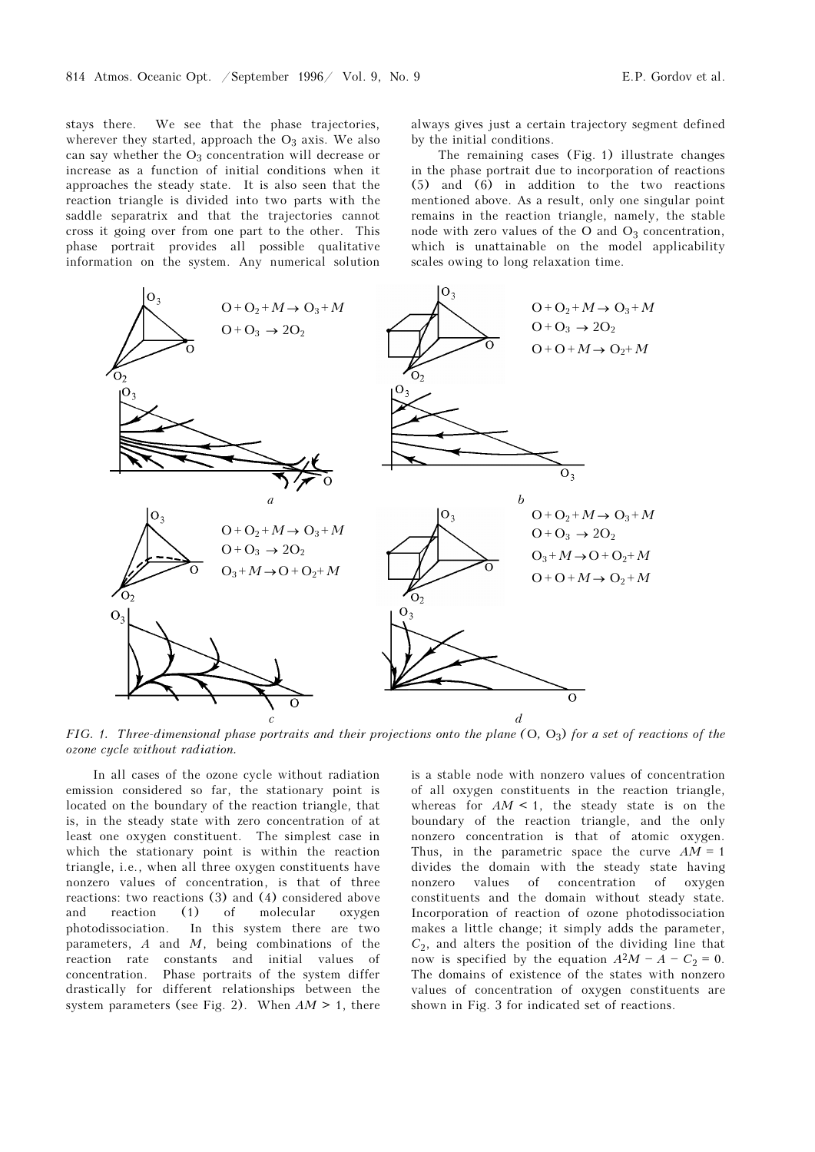stays there. We see that the phase trajectories, wherever they started, approach the  $O_3$  axis. We also can say whether the  $O_3$  concentration will decrease or increase as a function of initial conditions when it approaches the steady state. It is also seen that the reaction triangle is divided into two parts with the saddle separatrix and that the trajectories cannot cross it going over from one part to the other. This phase portrait provides all possible qualitative information on the system. Any numerical solution always gives just a certain trajectory segment defined by the initial conditions.

The remaining cases (Fig. 1) illustrate changes in the phase portrait due to incorporation of reactions (5) and (6) in addition to the two reactions mentioned above. As a result, only one singular point remains in the reaction triangle, namely, the stable node with zero values of the O and  $O_3$  concentration, which is unattainable on the model applicability scales owing to long relaxation time.



FIG. 1. Three-dimensional phase portraits and their projections onto the plane  $(O, O_3)$  for a set of reactions of the ozone cycle without radiation.

In all cases of the ozone cycle without radiation emission considered so far, the stationary point is located on the boundary of the reaction triangle, that is, in the steady state with zero concentration of at least one oxygen constituent. The simplest case in which the stationary point is within the reaction triangle, i.e., when all three oxygen constituents have nonzero values of concentration, is that of three reactions: two reactions (3) and (4) considered above and reaction (1) of molecular oxygen photodissociation. In this system there are two parameters,  $A$  and  $M$ , being combinations of the reaction rate constants and initial values of concentration. Phase portraits of the system differ drastically for different relationships between the system parameters (see Fig. 2). When  $AM > 1$ , there

is a stable node with nonzero values of concentration of all oxygen constituents in the reaction triangle, whereas for  $AM < 1$ , the steady state is on the boundary of the reaction triangle, and the only nonzero concentration is that of atomic oxygen. Thus, in the parametric space the curve  $AM = 1$ divides the domain with the steady state having nonzero values of concentration of oxygen constituents and the domain without steady state. Incorporation of reaction of ozone photodissociation makes a little change; it simply adds the parameter,  $C_2$ , and alters the position of the dividing line that now is specified by the equation  $A^2M - A - C_2 = 0$ . The domains of existence of the states with nonzero values of concentration of oxygen constituents are shown in Fig. 3 for indicated set of reactions.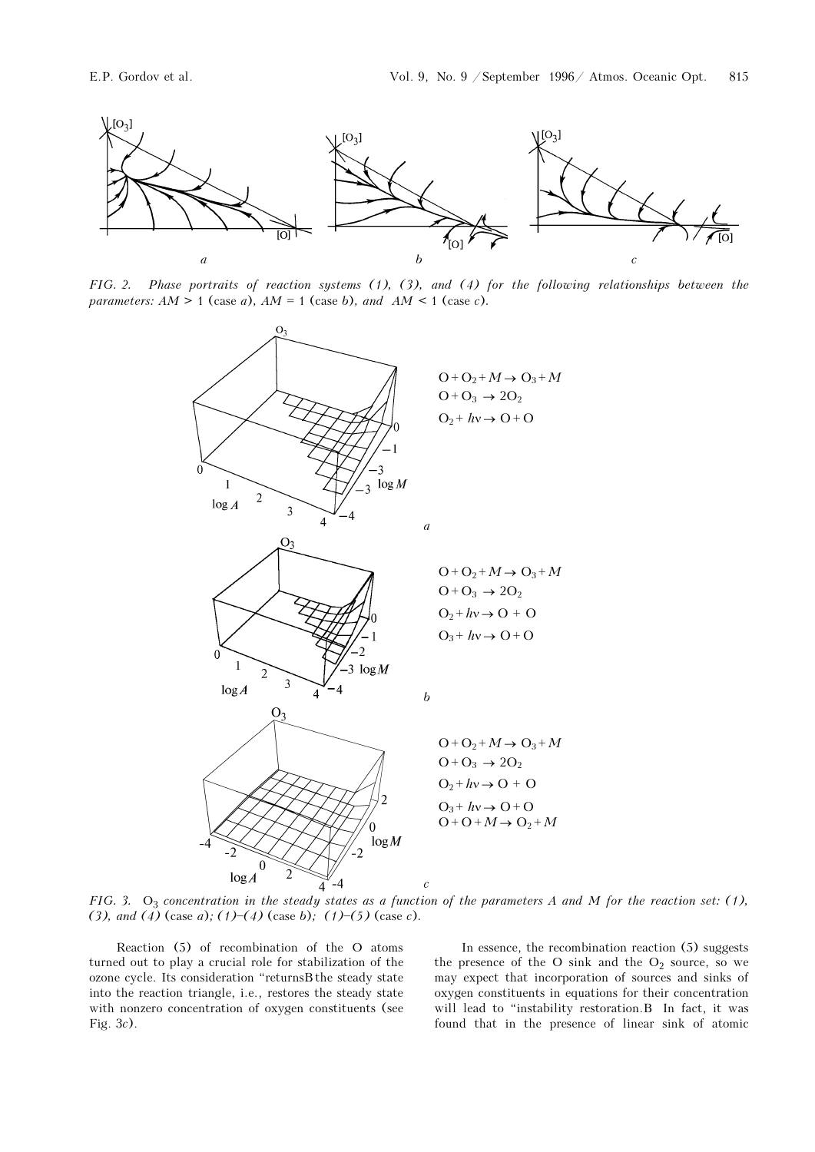

FIG. 2. Phase portraits of reaction systems (1), (3), and (4) for the following relationships between the parameters:  $AM > 1$  (case a),  $AM = 1$  (case b), and  $AM < 1$  (case c).



FIG. 3.  $O_3$  concentration in the steady states as a function of the parameters A and M for the reaction set: (1), (3), and (4) (case a); (1)–(4) (case b); (1)–(5) (case c).

Reaction (5) of recombination of the O atoms turned out to play a crucial role for stabilization of the ozone cycle. Its consideration "returnsB the steady state into the reaction triangle, i.e., restores the steady state with nonzero concentration of oxygen constituents (see Fig. 3c).

In essence, the recombination reaction (5) suggests the presence of the O sink and the  $O_2$  source, so we may expect that incorporation of sources and sinks of oxygen constituents in equations for their concentration will lead to "instability restoration.B In fact, it was found that in the presence of linear sink of atomic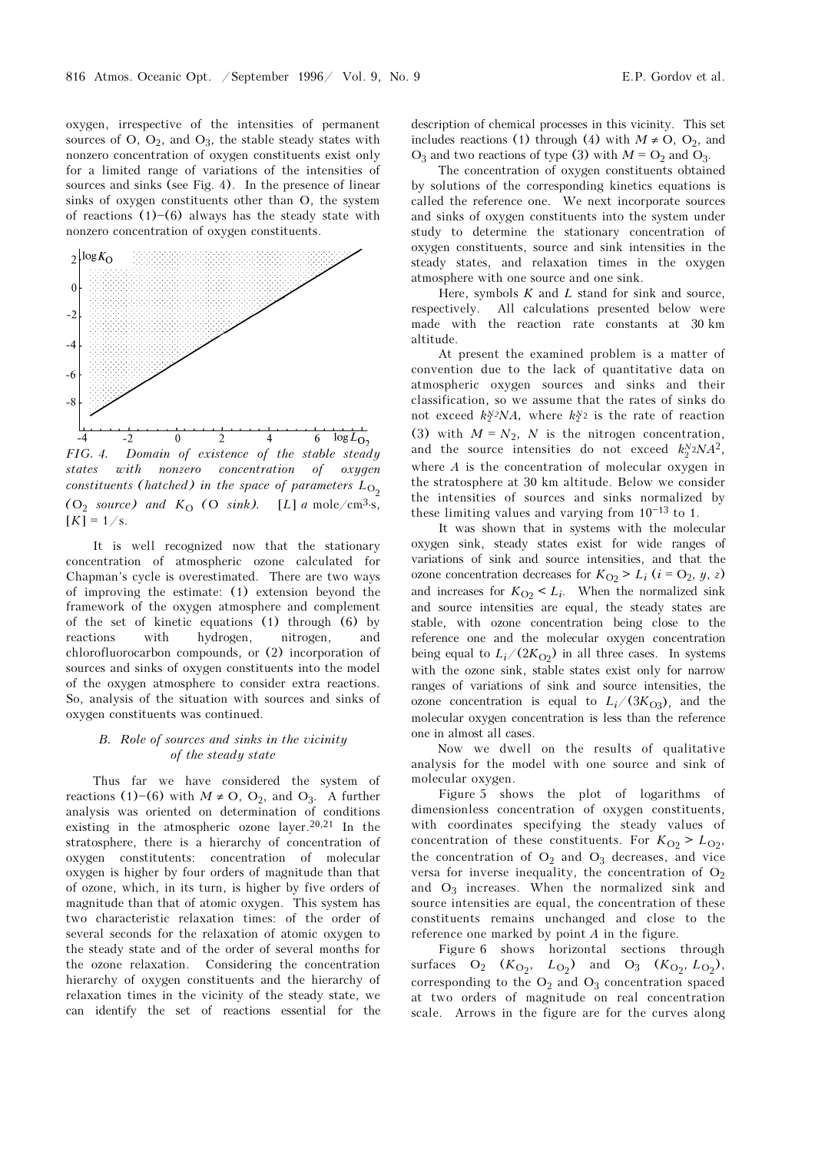oxygen, irrespective of the intensities of permanent sources of O,  $O_2$ , and  $O_3$ , the stable steady states with nonzero concentration of oxygen constituents exist only for a limited range of variations of the intensities of sources and sinks (see Fig. 4). In the presence of linear sinks of oxygen constituents other than O, the system of reactions  $(1)$ – $(6)$  always has the steady state with nonzero concentration of oxygen constituents.



states with nonzero concentration of oxygen constituents (hatched) in the space of parameters  $L_{\text{O}_2}$ (O<sub>2</sub> source) and  $K_{\text{O}}$  (O sink). [L] a mole/cm<sup>3</sup>⋅s,  $[K] = 1/s$ .

It is well recognized now that the stationary concentration of atmospheric ozone calculated for Chapman's cycle is overestimated. There are two ways of improving the estimate: (1) extension beyond the framework of the oxygen atmosphere and complement of the set of kinetic equations (1) through (6) by reactions with hydrogen, nitrogen, and chlorofluorocarbon compounds, or (2) incorporation of sources and sinks of oxygen constituents into the model of the oxygen atmosphere to consider extra reactions. So, analysis of the situation with sources and sinks of oxygen constituents was continued.

## B. Role of sources and sinks in the vicinity of the steady state

Thus far we have considered the system of reactions (1)-(6) with  $M \neq O$ ,  $O_2$ , and  $O_3$ . A further analysis was oriented on determination of conditions existing in the atmospheric ozone layer.  $20,21$  In the stratosphere, there is a hierarchy of concentration of oxygen constitutents: concentration of molecular oxygen is higher by four orders of magnitude than that of ozone, which, in its turn, is higher by five orders of magnitude than that of atomic oxygen. This system has two characteristic relaxation times: of the order of several seconds for the relaxation of atomic oxygen to the steady state and of the order of several months for the ozone relaxation. Considering the concentration hierarchy of oxygen constituents and the hierarchy of relaxation times in the vicinity of the steady state, we can identify the set of reactions essential for the description of chemical processes in this vicinity. This set includes reactions (1) through (4) with  $M \neq O$ ,  $O_2$ , and  $O_3$  and two reactions of type (3) with  $M = O_2$  and  $O_3$ .

The concentration of oxygen constituents obtained by solutions of the corresponding kinetics equations is called the reference one. We next incorporate sources and sinks of oxygen constituents into the system under study to determine the stationary concentration of oxygen constituents, source and sink intensities in the steady states, and relaxation times in the oxygen atmosphere with one source and one sink.

Here, symbols  $K$  and  $L$  stand for sink and source, respectively. All calculations presented below were made with the reaction rate constants at 30 km altitude.

At present the examined problem is a matter of convention due to the lack of quantitative data on atmospheric oxygen sources and sinks and their classification, so we assume that the rates of sinks do not exceed  $k_2^N/2NA$ , where  $k_2^N/2$  is the rate of reaction (3) with  $M = N_2$ , N is the nitrogen concentration, and the source intensities do not exceed  $k_2^N 2NA^2$ , where  $A$  is the concentration of molecular oxygen in the stratosphere at 30 km altitude. Below we consider the intensities of sources and sinks normalized by these limiting values and varying from  $10^{-13}$  to 1.

It was shown that in systems with the molecular oxygen sink, steady states exist for wide ranges of variations of sink and source intensities, and that the ozone concentration decreases for  $K_{O2}$  >  $L_i$  ( $i = O_2$ ,  $y$ ,  $z$ ) and increases for  $K_{O2} < L_i$ . When the normalized sink and source intensities are equal, the steady states are stable, with ozone concentration being close to the reference one and the molecular oxygen concentration being equal to  $L_i/(2K_{\text{O2}})$  in all three cases. In systems with the ozone sink, stable states exist only for narrow ranges of variations of sink and source intensities, the ozone concentration is equal to  $L_i/(3K_{\Omega_3})$ , and the molecular oxygen concentration is less than the reference one in almost all cases.

Now we dwell on the results of qualitative analysis for the model with one source and sink of molecular oxygen.

Figure 5 shows the plot of logarithms of dimensionless concentration of oxygen constituents, with coordinates specifying the steady values of concentration of these constituents. For  $K_{O2} > L_{O2}$ , the concentration of  $O_2$  and  $O_3$  decreases, and vice versa for inverse inequality, the concentration of  $O_2$ and  $O_3$  increases. When the normalized sink and source intensities are equal, the concentration of these constituents remains unchanged and close to the reference one marked by point A in the figure.

Figure 6 shows horizontal sections through surfaces  $O_2$   $(K_{O_2}, L_{O_2})$  and  $O_3$   $(K_{O_2}, L_{O_2})$ , corresponding to the  $O_2$  and  $O_3$  concentration spaced at two orders of magnitude on real concentration scale. Arrows in the figure are for the curves along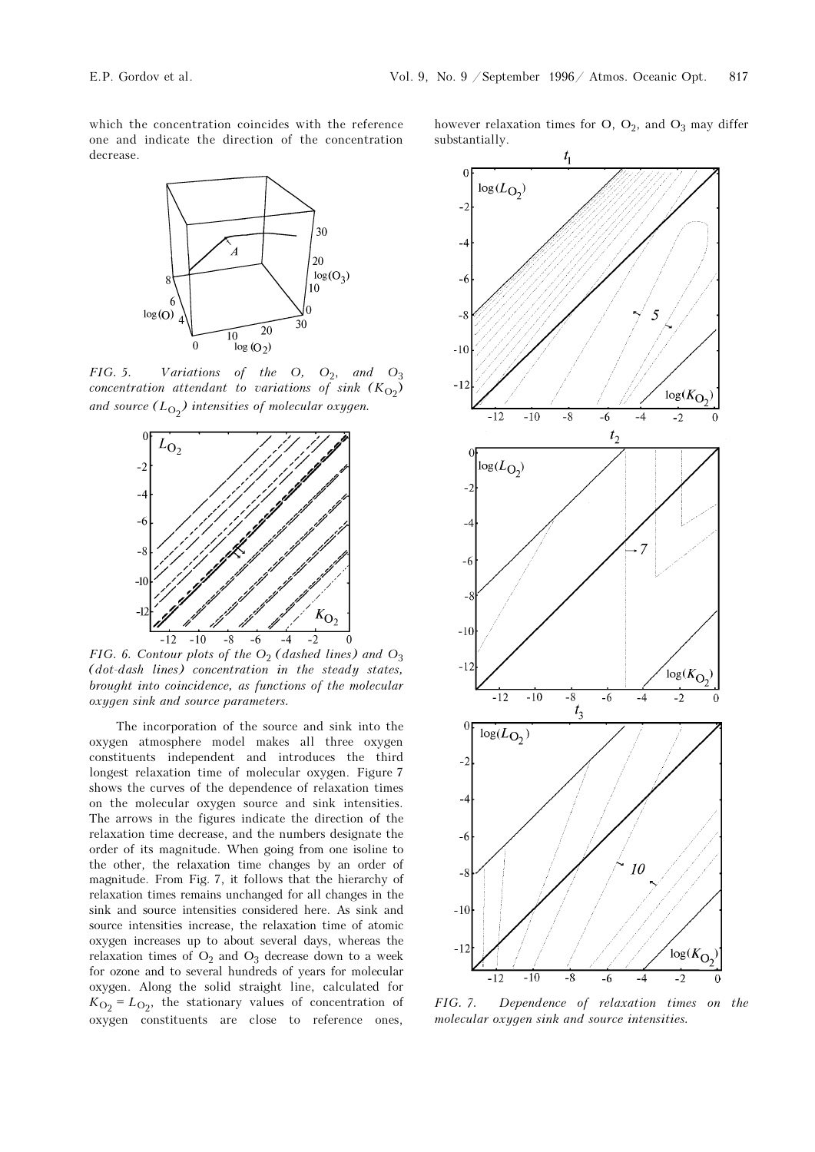which the concentration coincides with the reference one and indicate the direction of the concentration decrease.



FIG. 5. Variations of the O,  $O_2$ , and  $O_3$ concentration attendant to variations of sink  $(K_{\mathrm{O}_2})$ and source  $(L_{\mathrm{O}_2})$  intensities of molecular oxygen.



FIG. 6. Contour plots of the  $O_2$  (dashed lines) and  $O_3$ (dot-dash lines) concentration in the steady states, brought into coincidence, as functions of the molecular oxygen sink and source parameters.

The incorporation of the source and sink into the oxygen atmosphere model makes all three oxygen constituents independent and introduces the third longest relaxation time of molecular oxygen. Figure 7 shows the curves of the dependence of relaxation times on the molecular oxygen source and sink intensities. The arrows in the figures indicate the direction of the relaxation time decrease, and the numbers designate the order of its magnitude. When going from one isoline to the other, the relaxation time changes by an order of magnitude. From Fig. 7, it follows that the hierarchy of relaxation times remains unchanged for all changes in the sink and source intensities considered here. As sink and source intensities increase, the relaxation time of atomic oxygen increases up to about several days, whereas the relaxation times of  $O_2$  and  $O_3$  decrease down to a week for ozone and to several hundreds of years for molecular oxygen. Along the solid straight line, calculated for  $K_{\text{O}_2}$  =  $L_{\text{O}_2}$ , the stationary values of concentration of oxygen constituents are close to reference ones,

however relaxation times for  $O$ ,  $O_2$ , and  $O_3$  may differ substantially.



FIG. 7. Dependence of relaxation times on the molecular oxygen sink and source intensities.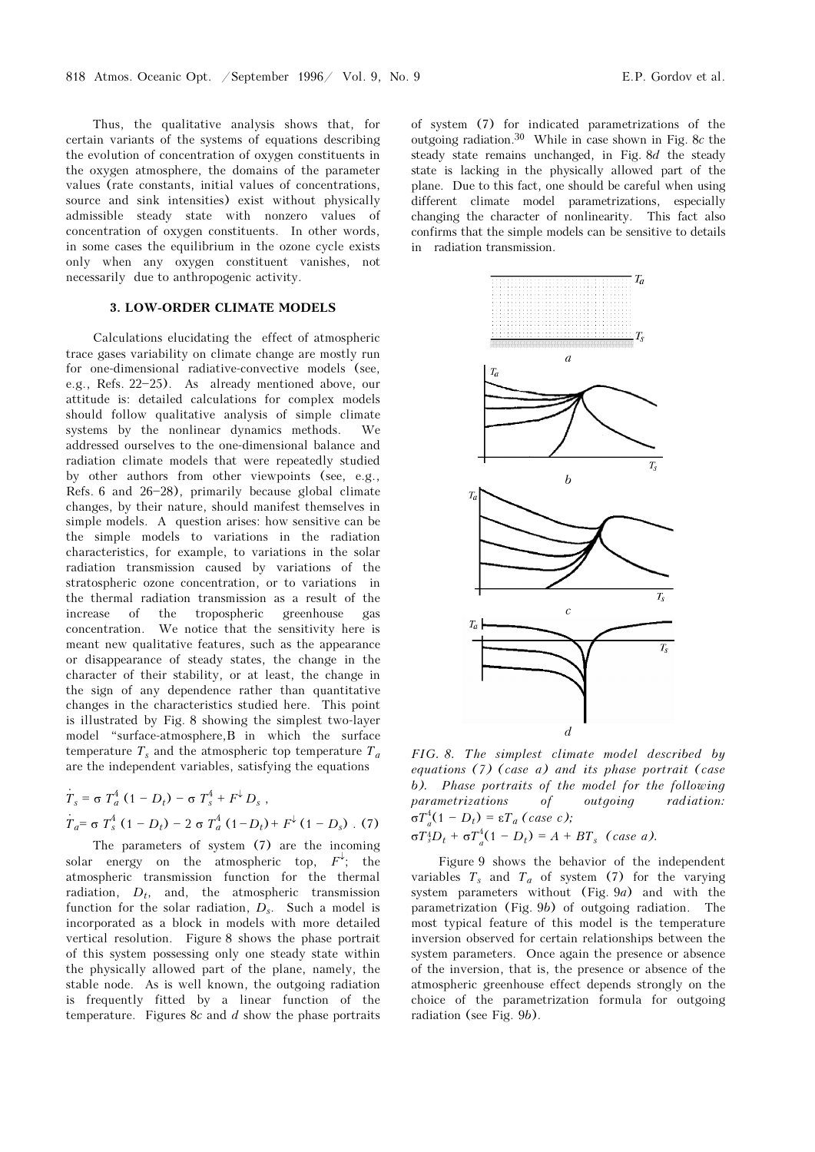Thus, the qualitative analysis shows that, for certain variants of the systems of equations describing the evolution of concentration of oxygen constituents in the oxygen atmosphere, the domains of the parameter values (rate constants, initial values of concentrations, source and sink intensities) exist without physically admissible steady state with nonzero values of concentration of oxygen constituents. In other words, in some cases the equilibrium in the ozone cycle exists only when any oxygen constituent vanishes, not necessarily due to anthropogenic activity.

## 3. LOW-ORDER CLIMATE MODELS

Calculations elucidating the effect of atmospheric trace gases variability on climate change are mostly run for one-dimensional radiative-convective models (see, e.g., Refs.  $22-25$ ). As already mentioned above, our attitude is: detailed calculations for complex models should follow qualitative analysis of simple climate systems by the nonlinear dynamics methods. We addressed ourselves to the one-dimensional balance and radiation climate models that were repeatedly studied by other authors from other viewpoints (see, e.g., Refs. 6 and  $26-28$ , primarily because global climate changes, by their nature, should manifest themselves in simple models. A question arises: how sensitive can be the simple models to variations in the radiation characteristics, for example, to variations in the solar radiation transmission caused by variations of the stratospheric ozone concentration, or to variations in the thermal radiation transmission as a result of the increase of the tropospheric greenhouse gas concentration. We notice that the sensitivity here is meant new qualitative features, such as the appearance or disappearance of steady states, the change in the character of their stability, or at least, the change in the sign of any dependence rather than quantitative changes in the characteristics studied here. This point is illustrated by Fig. 8 showing the simplest two-layer model "surface-atmosphere, B in which the surface temperature  $T_s$  and the atmospheric top temperature  $T_a$ are the independent variables, satisfying the equations

$$
\dot{T}_s = \sigma T_a^4 (1 - D_t) - \sigma T_s^4 + F^{\downarrow} D_s ,
$$
\n
$$
\dot{T}_a = \sigma T_s^4 (1 - D_t) - 2 \sigma T_a^4 (1 - D_t) + F^{\downarrow} (1 - D_s) . (7)
$$

The parameters of system (7) are the incoming solar energy on the atmospheric top,  $F^{\downarrow}$ ; the atmospheric transmission function for the thermal radiation,  $D_t$ , and, the atmospheric transmission function for the solar radiation,  $D_s$ . Such a model is incorporated as a block in models with more detailed vertical resolution. Figure 8 shows the phase portrait of this system possessing only one steady state within the physically allowed part of the plane, namely, the stable node. As is well known, the outgoing radiation is frequently fitted by a linear function of the temperature. Figures 8c and  $d$  show the phase portraits

of system (7) for indicated parametrizations of the outgoing radiation.30 While in case shown in Fig. 8c the steady state remains unchanged, in Fig. 8d the steady state is lacking in the physically allowed part of the plane. Due to this fact, one should be careful when using different climate model parametrizations, especially changing the character of nonlinearity. This fact also confirms that the simple models can be sensitive to details in radiation transmission.



FIG. 8. The simplest climate model described by equations (7) (case a) and its phase portrait (case b). Phase portraits of the model for the following parametrizations of outgoing radiation:  $\sigma T_a^4 (1 - D_t) = \varepsilon T_a$  (case c);

 $\sigma T_s^4 D_t + \sigma T_a^4 (1 - D_t) = A + BT_s$  (case a).

Figure 9 shows the behavior of the independent variables  $T_s$  and  $T_a$  of system (7) for the varying system parameters without (Fig. 9a) and with the parametrization (Fig. 9b) of outgoing radiation. The most typical feature of this model is the temperature inversion observed for certain relationships between the system parameters. Once again the presence or absence of the inversion, that is, the presence or absence of the atmospheric greenhouse effect depends strongly on the choice of the parametrization formula for outgoing radiation (see Fig. 9b).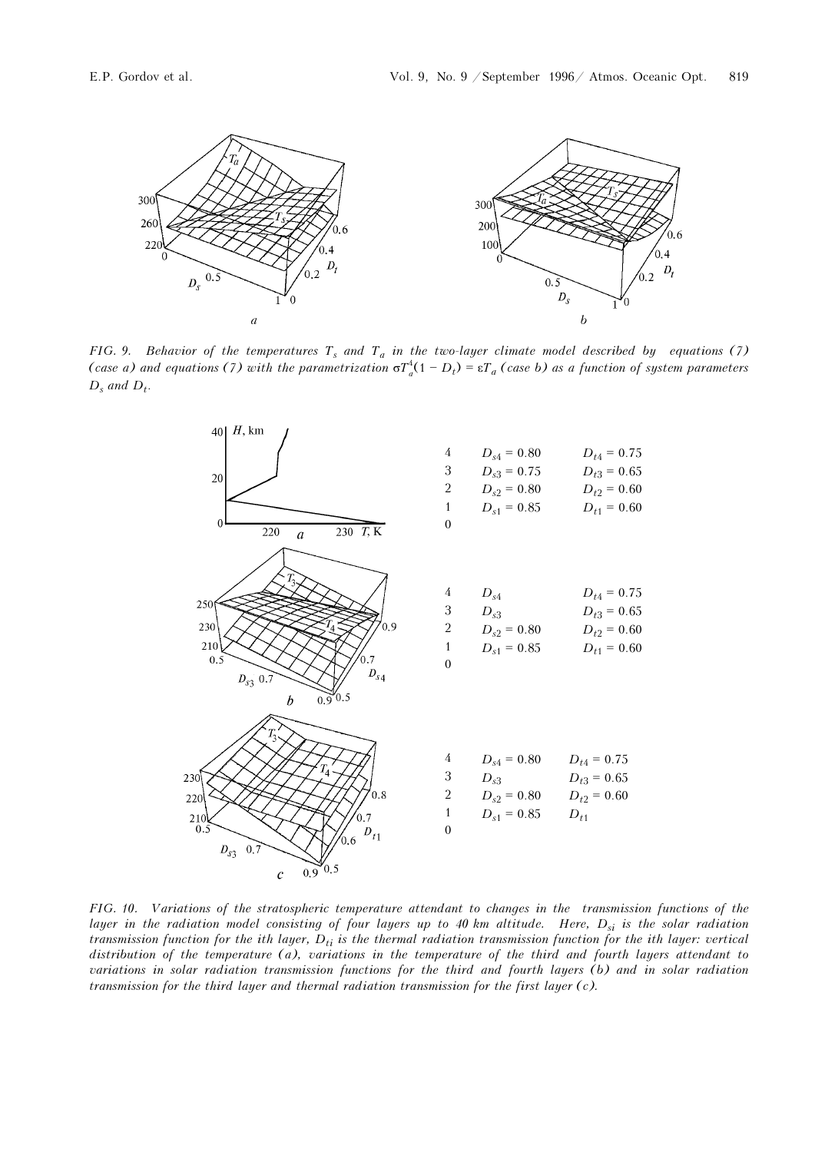

FIG. 9. Behavior of the temperatures  $T_s$  and  $T_a$  in the two-layer climate model described by equations (7) (case a) and equations (7) with the parametrization  $\sigma T_a^4(1-D_t) = \varepsilon T_a$  (case b) as a function of system parameters  $D_s$  and  $D_t$ .



FIG. 10. Variations of the stratospheric temperature attendant to changes in the transmission functions of the layer in the radiation model consisting of four layers up to 40 km altitude. Here,  $D_{si}$  is the solar radiation transmission function for the ith layer,  $D_{ti}$  is the thermal radiation transmission function for the ith layer: vertical distribution of the temperature (a), variations in the temperature of the third and fourth layers attendant to variations in solar radiation transmission functions for the third and fourth layers (b) and in solar radiation transmission for the third layer and thermal radiation transmission for the first layer (c).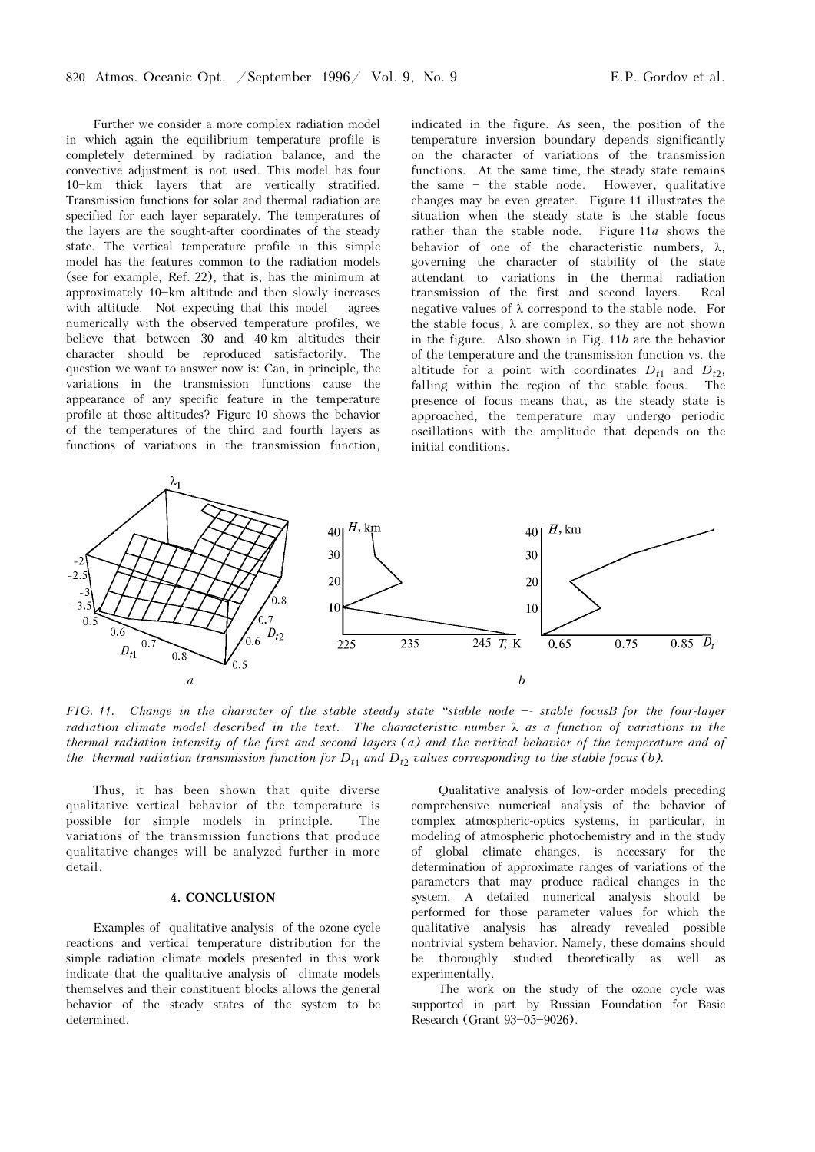Further we consider a more complex radiation model in which again the equilibrium temperature profile is completely determined by radiation balance, and the convective adjustment is not used. This model has four 10-km thick layers that are vertically stratified. Transmission functions for solar and thermal radiation are specified for each layer separately. The temperatures of the layers are the sought-after coordinates of the steady state. The vertical temperature profile in this simple model has the features common to the radiation models (see for example, Ref. 22), that is, has the minimum at approximately 10-km altitude and then slowly increases with altitude. Not expecting that this model agrees numerically with the observed temperature profiles, we believe that between 30 and 40 km altitudes their character should be reproduced satisfactorily. The question we want to answer now is: Can, in principle, the variations in the transmission functions cause the appearance of any specific feature in the temperature profile at those altitudes? Figure 10 shows the behavior of the temperatures of the third and fourth layers as functions of variations in the transmission function,

indicated in the figure. As seen, the position of the temperature inversion boundary depends significantly on the character of variations of the transmission functions. At the same time, the steady state remains the same  $-$  the stable node. However, qualitative changes may be even greater. Figure 11 illustrates the situation when the steady state is the stable focus rather than the stable node. Figure  $11a$  shows the behavior of one of the characteristic numbers,  $\lambda$ , governing the character of stability of the state attendant to variations in the thermal radiation transmission of the first and second layers. Real negative values of λ correspond to the stable node. For the stable focus,  $\lambda$  are complex, so they are not shown in the figure. Also shown in Fig. 11b are the behavior of the temperature and the transmission function vs. the altitude for a point with coordinates  $D_{t1}$  and  $D_{t2}$ , falling within the region of the stable focus. The presence of focus means that, as the steady state is approached, the temperature may undergo periodic oscillations with the amplitude that depends on the initial conditions.



FIG. 11. Change in the character of the stable steady state "stable node  $-$  stable focusB for the four-layer radiation climate model described in the text. The characteristic number  $\lambda$  as a function of variations in the thermal radiation intensity of the first and second layers (a) and the vertical behavior of the temperature and of the thermal radiation transmission function for  $D_{t1}$  and  $D_{t2}$  values corresponding to the stable focus (b).

Thus, it has been shown that quite diverse qualitative vertical behavior of the temperature is possible for simple models in principle. The variations of the transmission functions that produce qualitative changes will be analyzed further in more detail.

#### 4. CONCLUSION

Examples of qualitative analysis of the ozone cycle reactions and vertical temperature distribution for the simple radiation climate models presented in this work indicate that the qualitative analysis of climate models themselves and their constituent blocks allows the general behavior of the steady states of the system to be determined.

Qualitative analysis of low-order models preceding comprehensive numerical analysis of the behavior of complex atmospheric-optics systems, in particular, in modeling of atmospheric photochemistry and in the study of global climate changes, is necessary for the determination of approximate ranges of variations of the parameters that may produce radical changes in the system. A detailed numerical analysis should be performed for those parameter values for which the qualitative analysis has already revealed possible nontrivial system behavior. Namely, these domains should be thoroughly studied theoretically as well as experimentally.

The work on the study of the ozone cycle was supported in part by Russian Foundation for Basic Research (Grant 93-05-9026).